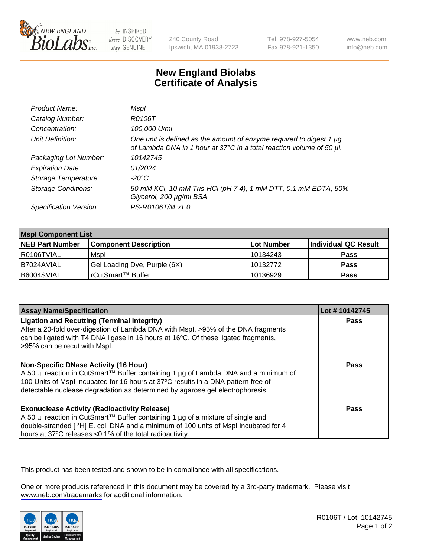

be INSPIRED drive DISCOVERY stay GENUINE

240 County Road Ipswich, MA 01938-2723 Tel 978-927-5054 Fax 978-921-1350

www.neb.com info@neb.com

## **New England Biolabs Certificate of Analysis**

| Product Name:              | Mspl                                                                                                                                             |
|----------------------------|--------------------------------------------------------------------------------------------------------------------------------------------------|
| Catalog Number:            | R0106T                                                                                                                                           |
| Concentration:             | 100,000 U/ml                                                                                                                                     |
| Unit Definition:           | One unit is defined as the amount of enzyme required to digest 1 $\mu$ g<br>of Lambda DNA in 1 hour at 37°C in a total reaction volume of 50 µl. |
| Packaging Lot Number:      | 10142745                                                                                                                                         |
| <b>Expiration Date:</b>    | 01/2024                                                                                                                                          |
| Storage Temperature:       | $-20^{\circ}$ C                                                                                                                                  |
| <b>Storage Conditions:</b> | 50 mM KCl, 10 mM Tris-HCl (pH 7.4), 1 mM DTT, 0.1 mM EDTA, 50%<br>Glycerol, 200 µg/ml BSA                                                        |
| Specification Version:     | PS-R0106T/M v1.0                                                                                                                                 |

| <b>Mspl Component List</b> |                              |            |                      |  |  |
|----------------------------|------------------------------|------------|----------------------|--|--|
| <b>NEB Part Number</b>     | <b>Component Description</b> | Lot Number | Individual QC Result |  |  |
| I R0106TVIAL               | Mspl                         | 10134243   | <b>Pass</b>          |  |  |
| I B7024AVIAL               | Gel Loading Dye, Purple (6X) | 10132772   | <b>Pass</b>          |  |  |
| IB6004SVIAL                | rCutSmart™ Buffer            | 10136929   | <b>Pass</b>          |  |  |

| <b>Assay Name/Specification</b>                                                                                                                                                                                                                                                                      | Lot #10142745 |
|------------------------------------------------------------------------------------------------------------------------------------------------------------------------------------------------------------------------------------------------------------------------------------------------------|---------------|
| <b>Ligation and Recutting (Terminal Integrity)</b><br>After a 20-fold over-digestion of Lambda DNA with Mspl, >95% of the DNA fragments<br>can be ligated with T4 DNA ligase in 16 hours at 16 $\degree$ C. Of these ligated fragments,<br>>95% can be recut with Mspl.                              | <b>Pass</b>   |
| Non-Specific DNase Activity (16 Hour)<br>  A 50 µl reaction in CutSmart™ Buffer containing 1 µg of Lambda DNA and a minimum of<br>100 Units of Mspl incubated for 16 hours at 37°C results in a DNA pattern free of<br>detectable nuclease degradation as determined by agarose gel electrophoresis. | Pass          |
| Exonuclease Activity (Radioactivity Release)<br>  A 50 µl reaction in CutSmart™ Buffer containing 1 µg of a mixture of single and<br>double-stranded [3H] E. coli DNA and a minimum of 100 units of Mspl incubated for 4<br>hours at 37°C releases <0.1% of the total radioactivity.                 | Pass          |

This product has been tested and shown to be in compliance with all specifications.

One or more products referenced in this document may be covered by a 3rd-party trademark. Please visit <www.neb.com/trademarks>for additional information.